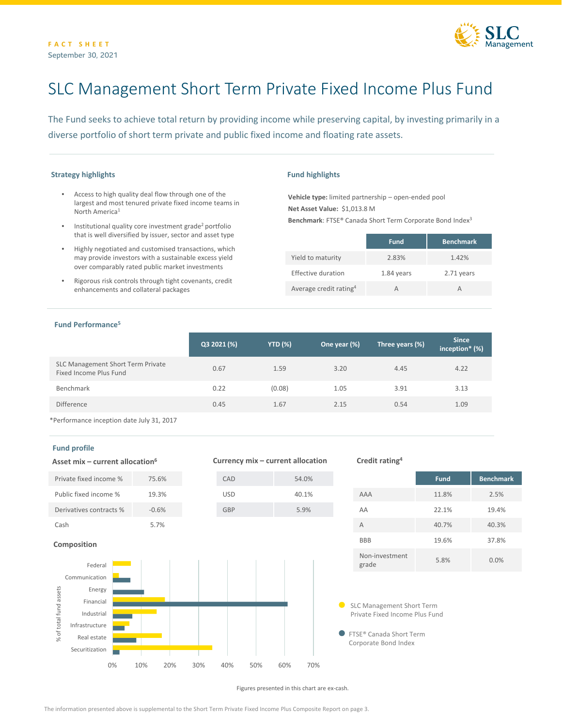

# SLC Management Short Term Private Fixed Income Plus Fund

The Fund seeks to achieve total return by providing income while preserving capital, by investing primarily in a diverse portfolio of short term private and public fixed income and floating rate assets.

# **Strategy highlights**

- Access to high quality deal flow through one of the largest and most tenured private fixed income teams in North America1
- Institutional quality core investment grade<sup>2</sup> portfolio that is well diversified by issuer, sector and asset type
- Highly negotiated and customised transactions, which may provide investors with a sustainable excess yield over comparably rated public market investments
- Rigorous risk controls through tight covenants, credit enhancements and collateral packages

#### **Fund highlights**

**Vehicle type:** limited partnership – open-ended pool **Net Asset Value:** \$1,013.8 M **Benchmark**: FTSE® Canada Short Term Corporate Bond Index3

|                                    | <b>Fund</b> | <b>Benchmark</b> |
|------------------------------------|-------------|------------------|
| Yield to maturity                  | 2.83%       | 1.42%            |
| Effective duration                 | 1.84 years  | 2.71 years       |
| Average credit rating <sup>4</sup> | А           |                  |

#### **Fund Performance5**

|                                                             | Q3 2021 (%) | <b>YTD (%)</b> | One year (%)' | Three years (%) | <b>Since</b><br>inception* (%) |
|-------------------------------------------------------------|-------------|----------------|---------------|-----------------|--------------------------------|
| SLC Management Short Term Private<br>Fixed Income Plus Fund | 0.67        | 1.59           | 3.20          | 4.45            | 4.22                           |
| Benchmark                                                   | 0.22        | (0.08)         | 1.05          | 3.91            | 3.13                           |
| <b>Difference</b>                                           | 0.45        | 1.67           | 2.15          | 0.54            | 1.09                           |

\*Performance inception date July 31, 2017

# **Fund profile**



|                         | <b>Fund</b> | <b>Benchmark</b> |
|-------------------------|-------------|------------------|
| <b>AAA</b>              | 11.8%       | 2.5%             |
| AA                      | 22.1%       | 19.4%            |
| A                       | 40.7%       | 40.3%            |
| <b>BBB</b>              | 19.6%       | 37.8%            |
| Non-investment<br>grade | 5.8%        | 0.0%             |

SLC Management Short Term Private Fixed Income Plus Fund

Corporate Bond Index

Figures presented in this chart are ex-cash.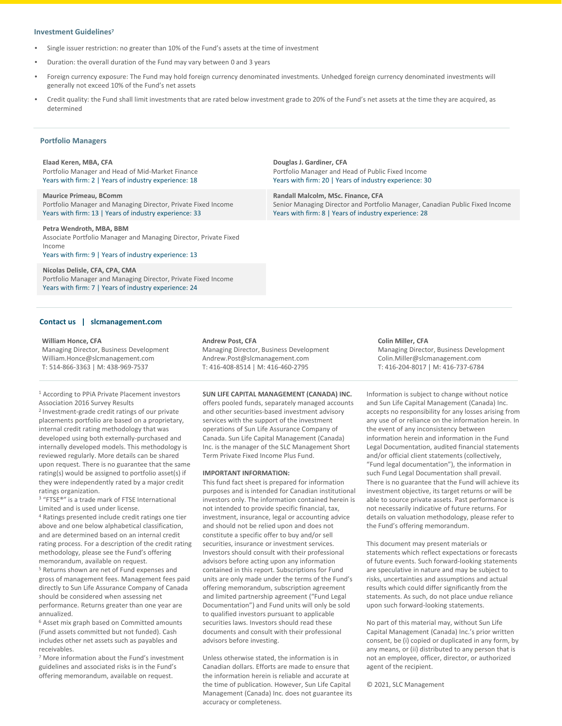#### **Investment Guidelines<sup>7</sup>**

- Single issuer restriction: no greater than 10% of the Fund's assets at the time of investment
- Duration: the overall duration of the Fund may vary between 0 and 3 years
- Foreign currency exposure: The Fund may hold foreign currency denominated investments. Unhedged foreign currency denominated investments will generally not exceed 10% of the Fund's net assets
- Credit quality: the Fund shall limit investments that are rated below investment grade to 20% of the Fund's net assets at the time they are acquired, as determined

**Douglas J. Gardiner, CFA**

**Randall Malcolm, MSc. Finance, CFA**

Portfolio Manager and Head of Public Fixed Income Years with firm: 20 | Years of industry experience: 30

Years with firm: 8 | Years of industry experience: 28

### **Portfolio Managers**

**Elaad Keren, MBA, CFA** Portfolio Manager and Head of Mid-Market Finance Years with firm: 2 | Years of industry experience: 18

**Maurice Primeau, BComm** Portfolio Manager and Managing Director, Private Fixed Income Years with firm: 13 | Years of industry experience: 33

**Petra Wendroth, MBA, BBM** Associate Portfolio Manager and Managing Director, Private Fixed Income Years with firm: 9 | Years of industry experience: 13

#### **Nicolas Delisle, CFA, CPA, CMA**

Portfolio Manager and Managing Director, Private Fixed Income Years with firm: 7 | Years of industry experience: 24

#### **Contact us | slcmanagement.com**

#### **William Honce, CFA**

Managing Director, Business Development William.Honce@slcmanagement.com T: 514-866-3363 | M: 438-969-7537

<sup>1</sup> According to PPiA Private Placement investors Association 2016 Survey Results

2 Investment-grade credit ratings of our private placements portfolio are based on a proprietary, internal credit rating methodology that was developed using both externally-purchased and internally developed models. This methodology is reviewed regularly. More details can be shared upon request. There is no guarantee that the same rating(s) would be assigned to portfolio asset(s) if they were independently rated by a major credit ratings organization.

<sup>3</sup> "FTSE<sup>®</sup>" is a trade mark of FTSE International Limited and is used under license.

<sup>4</sup> Ratings presented include credit ratings one tier above and one below alphabetical classification, and are determined based on an internal credit rating process. For a description of the credit rating methodology, please see the Fund's offering memorandum, available on request.

<sup>5</sup> Returns shown are net of Fund expenses and gross of management fees. Management fees paid directly to Sun Life Assurance Company of Canada should be considered when assessing net performance. Returns greater than one year are annualized.

<sup>6</sup> Asset mix graph based on Committed amounts (Fund assets committed but not funded). Cash includes other net assets such as payables and receivables.

<sup>7</sup> More information about the Fund's investment guidelines and associated risks is in the Fund's offering memorandum, available on request.

**Andrew Post, CFA**

Managing Director, Business Development Andrew.Post@slcmanagement.com T: 416-408-8514 | M: 416-460-2795

**SUN LIFE CAPITAL MANAGEMENT (CANADA) INC.** 

offers pooled funds, separately managed accounts and other securities-based investment advisory services with the support of the investment operations of Sun Life Assurance Company of Canada. Sun Life Capital Management (Canada) Inc. is the manager of the SLC Management Short Term Private Fixed Income Plus Fund.

#### **IMPORTANT INFORMATION:**

This fund fact sheet is prepared for information purposes and is intended for Canadian institutional investors only. The information contained herein is not intended to provide specific financial, tax, investment, insurance, legal or accounting advice and should not be relied upon and does not constitute a specific offer to buy and/or sell securities, insurance or investment services. Investors should consult with their professional advisors before acting upon any information contained in this report. Subscriptions for Fund units are only made under the terms of the Fund's offering memorandum, subscription agreement and limited partnership agreement ("Fund Legal Documentation") and Fund units will only be sold to qualified investors pursuant to applicable securities laws. Investors should read these documents and consult with their professional advisors before investing.

Unless otherwise stated, the information is in Canadian dollars. Efforts are made to ensure that the information herein is reliable and accurate at the time of publication. However, Sun Life Capital Management (Canada) Inc. does not guarantee its accuracy or completeness.

Senior Managing Director and Portfolio Manager, Canadian Public Fixed Income

**Colin Miller, CFA** Managing Director, Business Development Colin.Miller@slcmanagement.com T: 416-204-8017 | M: 416-737-6784

Information is subject to change without notice and Sun Life Capital Management (Canada) Inc. accepts no responsibility for any losses arising from any use of or reliance on the information herein. In the event of any inconsistency between information herein and information in the Fund Legal Documentation, audited financial statements and/or official client statements (collectively, "Fund legal documentation"), the information in such Fund Legal Documentation shall prevail. There is no guarantee that the Fund will achieve its investment objective, its target returns or will be able to source private assets. Past performance is not necessarily indicative of future returns. For details on valuation methodology, please refer to the Fund's offering memorandum.

This document may present materials or statements which reflect expectations or forecasts of future events. Such forward-looking statements are speculative in nature and may be subject to risks, uncertainties and assumptions and actual results which could differ significantly from the statements. As such, do not place undue reliance upon such forward-looking statements.

No part of this material may, without Sun Life Capital Management (Canada) Inc.'s prior written consent, be (i) copied or duplicated in any form, by any means, or (ii) distributed to any person that is not an employee, officer, director, or authorized agent of the recipient.

© 2021, SLC Management